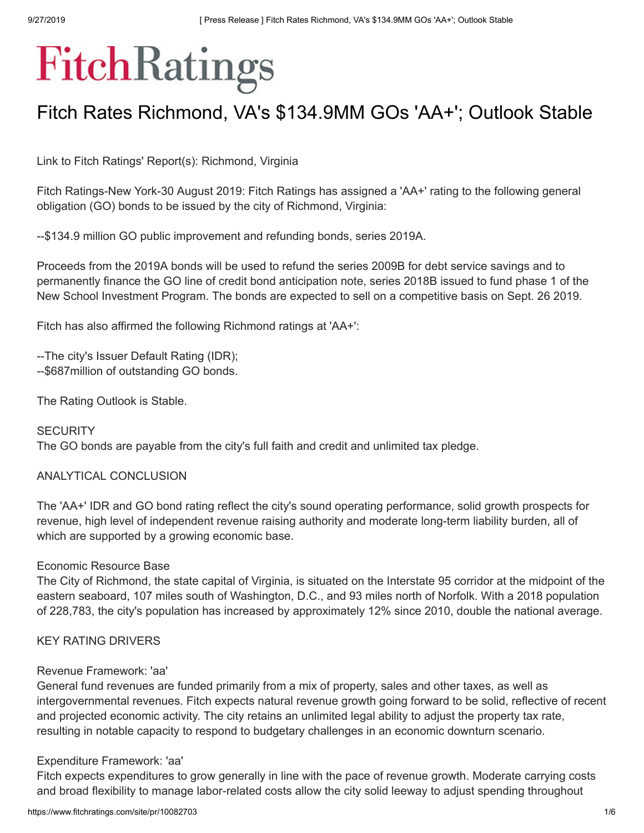# FitchRatings

## Fitch Rates Richmond, VA's \$134.9MM GOs 'AA+'; Outlook Stable

Link to Fitch Ratings' Report(s): [Richmond,](https://www.fitchratings.com/site/re/10082704) Virginia

Fitch Ratings-New York-30 August 2019: Fitch Ratings has assigned a 'AA+' rating to the following general obligation (GO) bonds to be issued by the city of Richmond, Virginia:

--\$134.9 million GO public improvement and refunding bonds, series 2019A.

Proceeds from the 2019A bonds will be used to refund the series 2009B for debt service savings and to permanently finance the GO line of credit bond anticipation note, series 2018B issued to fund phase 1 of the New School Investment Program. The bonds are expected to sell on a competitive basis on Sept. 26 2019.

Fitch has also affirmed the following Richmond ratings at 'AA+':

--The city's Issuer Default Rating (IDR); --\$687million of outstanding GO bonds.

The Rating Outlook is Stable.

### **SECURITY**

The GO bonds are payable from the city's full faith and credit and unlimited tax pledge.

### ANALYTICAL CONCLUSION

The 'AA+' IDR and GO bond rating reflect the city's sound operating performance, solid growth prospects for revenue, high level of independent revenue raising authority and moderate long-term liability burden, all of which are supported by a growing economic base.

### Economic Resource Base

The City of Richmond, the state capital of Virginia, is situated on the Interstate 95 corridor at the midpoint of the eastern seaboard, 107 miles south of Washington, D.C., and 93 miles north of Norfolk. With a 2018 population of 228,783, the city's population has increased by approximately 12% since 2010, double the national average.

### KEY RATING DRIVERS

### Revenue Framework: 'aa'

General fund revenues are funded primarily from a mix of property, sales and other taxes, as well as intergovernmental revenues. Fitch expects natural revenue growth going forward to be solid, reflective of recent and projected economic activity. The city retains an unlimited legal ability to adjust the property tax rate, resulting in notable capacity to respond to budgetary challenges in an economic downturn scenario.

### Expenditure Framework: 'aa'

Fitch expects expenditures to grow generally in line with the pace of revenue growth. Moderate carrying costs and broad flexibility to manage labor-related costs allow the city solid leeway to adjust spending throughout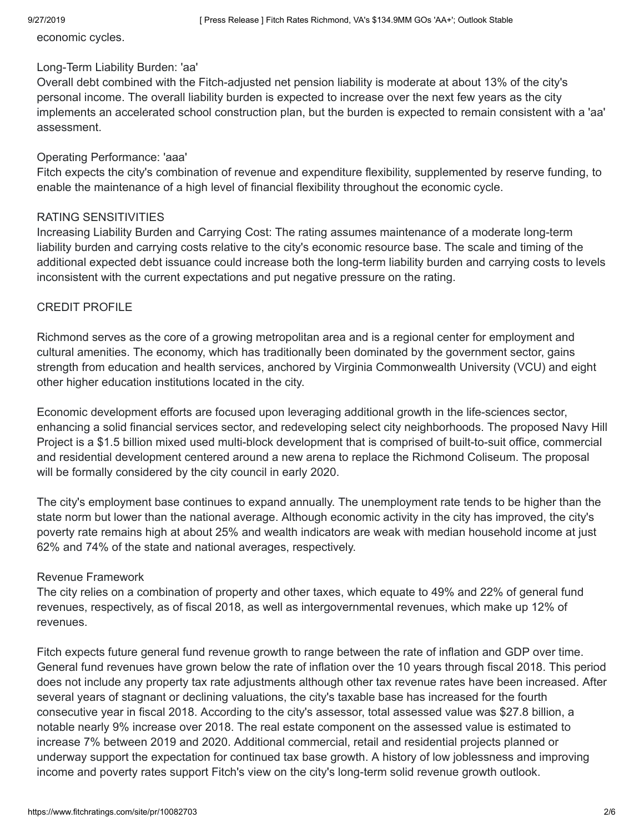economic cycles.

### Long-Term Liability Burden: 'aa'

Overall debt combined with the Fitch-adjusted net pension liability is moderate at about 13% of the city's personal income. The overall liability burden is expected to increase over the next few years as the city implements an accelerated school construction plan, but the burden is expected to remain consistent with a 'aa' assessment.

### Operating Performance: 'aaa'

Fitch expects the city's combination of revenue and expenditure flexibility, supplemented by reserve funding, to enable the maintenance of a high level of financial flexibility throughout the economic cycle.

### RATING SENSITIVITIES

Increasing Liability Burden and Carrying Cost: The rating assumes maintenance of a moderate long-term liability burden and carrying costs relative to the city's economic resource base. The scale and timing of the additional expected debt issuance could increase both the long-term liability burden and carrying costs to levels inconsistent with the current expectations and put negative pressure on the rating.

### CREDIT PROFILE

Richmond serves as the core of a growing metropolitan area and is a regional center for employment and cultural amenities. The economy, which has traditionally been dominated by the government sector, gains strength from education and health services, anchored by Virginia Commonwealth University (VCU) and eight other higher education institutions located in the city.

Economic development efforts are focused upon leveraging additional growth in the life-sciences sector, enhancing a solid financial services sector, and redeveloping select city neighborhoods. The proposed Navy Hill Project is a \$1.5 billion mixed used multi-block development that is comprised of built-to-suit office, commercial and residential development centered around a new arena to replace the Richmond Coliseum. The proposal will be formally considered by the city council in early 2020.

The city's employment base continues to expand annually. The unemployment rate tends to be higher than the state norm but lower than the national average. Although economic activity in the city has improved, the city's poverty rate remains high at about 25% and wealth indicators are weak with median household income at just 62% and 74% of the state and national averages, respectively.

### Revenue Framework

The city relies on a combination of property and other taxes, which equate to 49% and 22% of general fund revenues, respectively, as of fiscal 2018, as well as intergovernmental revenues, which make up 12% of revenues.

Fitch expects future general fund revenue growth to range between the rate of inflation and GDP over time. General fund revenues have grown below the rate of inflation over the 10 years through fiscal 2018. This period does not include any property tax rate adjustments although other tax revenue rates have been increased. After several years of stagnant or declining valuations, the city's taxable base has increased for the fourth consecutive year in fiscal 2018. According to the city's assessor, total assessed value was \$27.8 billion, a notable nearly 9% increase over 2018. The real estate component on the assessed value is estimated to increase 7% between 2019 and 2020. Additional commercial, retail and residential projects planned or underway support the expectation for continued tax base growth. A history of low joblessness and improving income and poverty rates support Fitch's view on the city's long-term solid revenue growth outlook.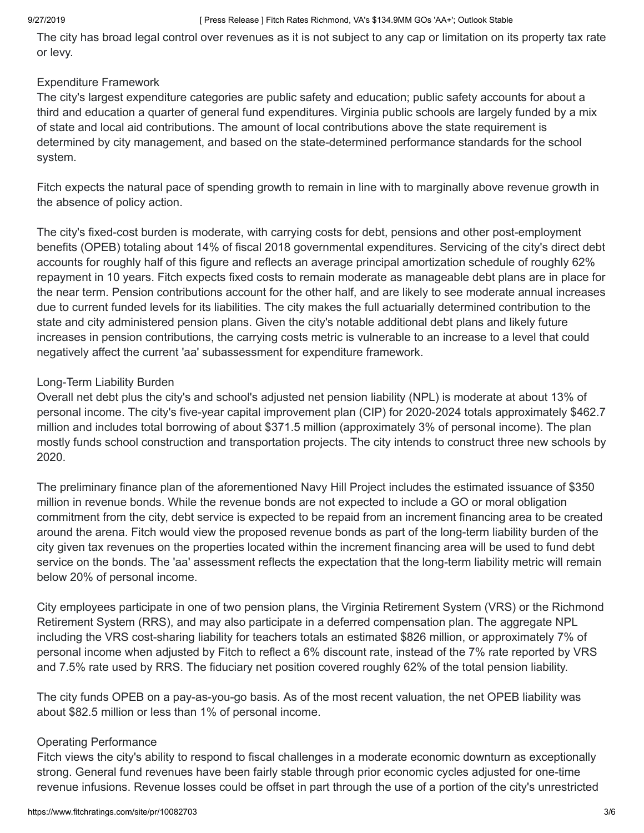### 9/27/2019 **[ Press Release ] Fitch Rates Richmond, VA's \$134.9MM GOs 'AA+'; Outlook Stable**

The city has broad legal control over revenues as it is not subject to any cap or limitation on its property tax rate or levy.

### Expenditure Framework

The city's largest expenditure categories are public safety and education; public safety accounts for about a third and education a quarter of general fund expenditures. Virginia public schools are largely funded by a mix of state and local aid contributions. The amount of local contributions above the state requirement is determined by city management, and based on the state-determined performance standards for the school system.

Fitch expects the natural pace of spending growth to remain in line with to marginally above revenue growth in the absence of policy action.

The city's fixed-cost burden is moderate, with carrying costs for debt, pensions and other post-employment benefits (OPEB) totaling about 14% of fiscal 2018 governmental expenditures. Servicing of the city's direct debt accounts for roughly half of this figure and reflects an average principal amortization schedule of roughly 62% repayment in 10 years. Fitch expects fixed costs to remain moderate as manageable debt plans are in place for the near term. Pension contributions account for the other half, and are likely to see moderate annual increases due to current funded levels for its liabilities. The city makes the full actuarially determined contribution to the state and city administered pension plans. Given the city's notable additional debt plans and likely future increases in pension contributions, the carrying costs metric is vulnerable to an increase to a level that could negatively affect the current 'aa' subassessment for expenditure framework.

### Long-Term Liability Burden

Overall net debt plus the city's and school's adjusted net pension liability (NPL) is moderate at about 13% of personal income. The city's five-year capital improvement plan (CIP) for 2020-2024 totals approximately \$462.7 million and includes total borrowing of about \$371.5 million (approximately 3% of personal income). The plan mostly funds school construction and transportation projects. The city intends to construct three new schools by 2020.

The preliminary finance plan of the aforementioned Navy Hill Project includes the estimated issuance of \$350 million in revenue bonds. While the revenue bonds are not expected to include a GO or moral obligation commitment from the city, debt service is expected to be repaid from an increment financing area to be created around the arena. Fitch would view the proposed revenue bonds as part of the long-term liability burden of the city given tax revenues on the properties located within the increment financing area will be used to fund debt service on the bonds. The 'aa' assessment reflects the expectation that the long-term liability metric will remain below 20% of personal income.

City employees participate in one of two pension plans, the Virginia Retirement System (VRS) or the Richmond Retirement System (RRS), and may also participate in a deferred compensation plan. The aggregate NPL including the VRS cost-sharing liability for teachers totals an estimated \$826 million, or approximately 7% of personal income when adjusted by Fitch to reflect a 6% discount rate, instead of the 7% rate reported by VRS and 7.5% rate used by RRS. The fiduciary net position covered roughly 62% of the total pension liability.

The city funds OPEB on a pay-as-you-go basis. As of the most recent valuation, the net OPEB liability was about \$82.5 million or less than 1% of personal income.

### Operating Performance

Fitch views the city's ability to respond to fiscal challenges in a moderate economic downturn as exceptionally strong. General fund revenues have been fairly stable through prior economic cycles adjusted for one-time revenue infusions. Revenue losses could be offset in part through the use of a portion of the city's unrestricted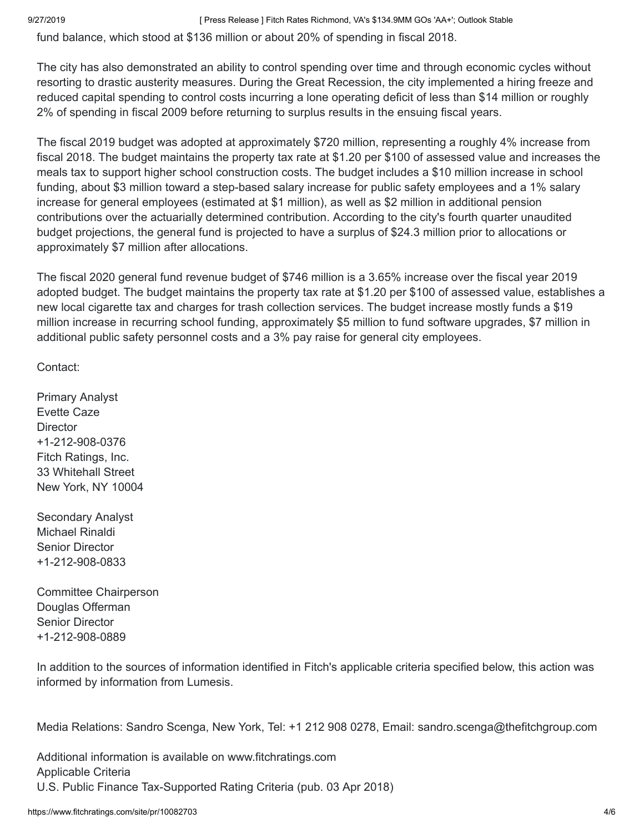### 9/27/2019 **[ Press Release ] Fitch Rates Richmond, VA's \$134.9MM GOs 'AA+'; Outlook Stable**

fund balance, which stood at \$136 million or about 20% of spending in fiscal 2018.

The city has also demonstrated an ability to control spending over time and through economic cycles without resorting to drastic austerity measures. During the Great Recession, the city implemented a hiring freeze and reduced capital spending to control costs incurring a lone operating deficit of less than \$14 million or roughly 2% of spending in fiscal 2009 before returning to surplus results in the ensuing fiscal years.

The fiscal 2019 budget was adopted at approximately \$720 million, representing a roughly 4% increase from fiscal 2018. The budget maintains the property tax rate at \$1.20 per \$100 of assessed value and increases the meals tax to support higher school construction costs. The budget includes a \$10 million increase in school funding, about \$3 million toward a step-based salary increase for public safety employees and a 1% salary increase for general employees (estimated at \$1 million), as well as \$2 million in additional pension contributions over the actuarially determined contribution. According to the city's fourth quarter unaudited budget projections, the general fund is projected to have a surplus of \$24.3 million prior to allocations or approximately \$7 million after allocations.

The fiscal 2020 general fund revenue budget of \$746 million is a 3.65% increase over the fiscal year 2019 adopted budget. The budget maintains the property tax rate at \$1.20 per \$100 of assessed value, establishes a new local cigarette tax and charges for trash collection services. The budget increase mostly funds a \$19 million increase in recurring school funding, approximately \$5 million to fund software upgrades, \$7 million in additional public safety personnel costs and a 3% pay raise for general city employees.

Contact:

Primary Analyst Evette Caze **Director** +1-212-908-0376 Fitch Ratings, Inc. 33 Whitehall Street New York, NY 10004

Secondary Analyst Michael Rinaldi Senior Director +1-212-908-0833

Committee Chairperson Douglas Offerman Senior Director +1-212-908-0889

In addition to the sources of information identified in Fitch's applicable criteria specified below, this action was informed by information from Lumesis.

Media Relations: Sandro Scenga, New York, Tel: +1 212 908 0278, Email: [sandro.scenga@thefitchgroup.com](mailto:sandro.scenga@thefitchgroup.com)

Additional information is available on [www.fitchratings.com](https://www.fitchratings.com/) Applicable Criteria U.S. Public Finance [Tax-Supported](https://www.fitchratings.com/site/re/10024656) Rating Criteria (pub. 03 Apr 2018)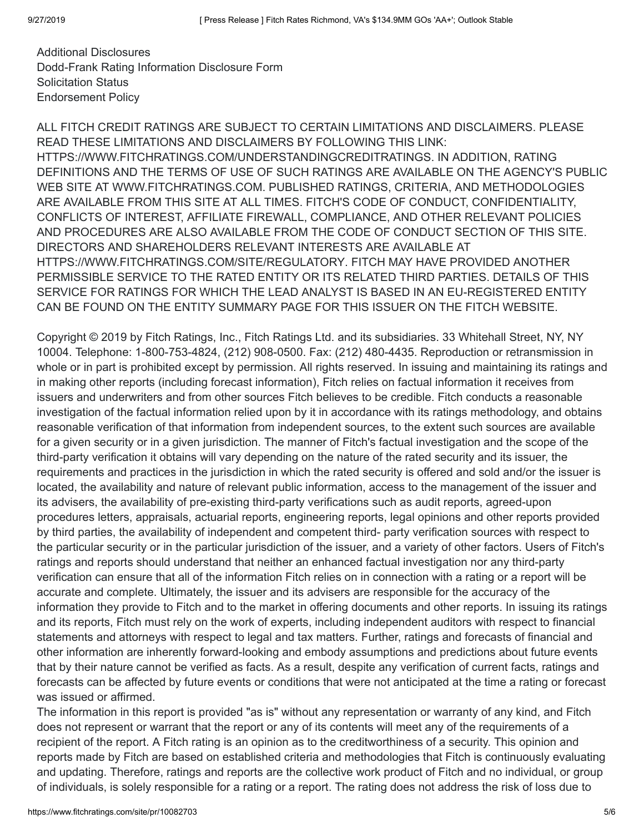Additional Disclosures [Dodd-Frank](https://www.fitchratings.com/site/dodd-frank-disclosure/10082703) Rating Information Disclosure Form [Solicitation](#page-5-0) Status [Endorsement](https://www.fitchratings.com/regulatory) Policy

ALL FITCH CREDIT RATINGS ARE SUBJECT TO CERTAIN LIMITATIONS AND DISCLAIMERS. PLEASE READ THESE LIMITATIONS AND DISCLAIMERS BY FOLLOWING THIS LINK: [HTTPS://WWW.FITCHRATINGS.COM/UNDERSTANDINGCREDITRATINGS](https://www.fitchratings.com/understandingcreditratings). IN ADDITION, RATING DEFINITIONS AND THE TERMS OF USE OF SUCH RATINGS ARE AVAILABLE ON THE AGENCY'S PUBLIC WEB SITE AT [WWW.FITCHRATINGS.COM.](https://www.fitchratings.com/) PUBLISHED RATINGS, CRITERIA, AND METHODOLOGIES ARE AVAILABLE FROM THIS SITE AT ALL TIMES. FITCH'S CODE OF CONDUCT, CONFIDENTIALITY, CONFLICTS OF INTEREST, AFFILIATE FIREWALL, COMPLIANCE, AND OTHER RELEVANT POLICIES AND PROCEDURES ARE ALSO AVAILABLE FROM THE CODE OF CONDUCT SECTION OF THIS SITE. DIRECTORS AND SHAREHOLDERS RELEVANT INTERESTS ARE AVAILABLE AT [HTTPS://WWW.FITCHRATINGS.COM/SITE/REGULATORY](https://www.fitchratings.com/site/regulatory). FITCH MAY HAVE PROVIDED ANOTHER PERMISSIBLE SERVICE TO THE RATED ENTITY OR ITS RELATED THIRD PARTIES. DETAILS OF THIS SERVICE FOR RATINGS FOR WHICH THE LEAD ANALYST IS BASED IN AN EU-REGISTERED ENTITY CAN BE FOUND ON THE ENTITY SUMMARY PAGE FOR THIS ISSUER ON THE FITCH WEBSITE.

Copyright © 2019 by Fitch Ratings, Inc., Fitch Ratings Ltd. and its subsidiaries. 33 Whitehall Street, NY, NY 10004. Telephone: 1-800-753-4824, (212) 908-0500. Fax: (212) 480-4435. Reproduction or retransmission in whole or in part is prohibited except by permission. All rights reserved. In issuing and maintaining its ratings and in making other reports (including forecast information), Fitch relies on factual information it receives from issuers and underwriters and from other sources Fitch believes to be credible. Fitch conducts a reasonable investigation of the factual information relied upon by it in accordance with its ratings methodology, and obtains reasonable verification of that information from independent sources, to the extent such sources are available for a given security or in a given jurisdiction. The manner of Fitch's factual investigation and the scope of the third-party verification it obtains will vary depending on the nature of the rated security and its issuer, the requirements and practices in the jurisdiction in which the rated security is offered and sold and/or the issuer is located, the availability and nature of relevant public information, access to the management of the issuer and its advisers, the availability of pre-existing third-party verifications such as audit reports, agreed-upon procedures letters, appraisals, actuarial reports, engineering reports, legal opinions and other reports provided by third parties, the availability of independent and competent third- party verification sources with respect to the particular security or in the particular jurisdiction of the issuer, and a variety of other factors. Users of Fitch's ratings and reports should understand that neither an enhanced factual investigation nor any third-party verification can ensure that all of the information Fitch relies on in connection with a rating or a report will be accurate and complete. Ultimately, the issuer and its advisers are responsible for the accuracy of the information they provide to Fitch and to the market in offering documents and other reports. In issuing its ratings and its reports, Fitch must rely on the work of experts, including independent auditors with respect to financial statements and attorneys with respect to legal and tax matters. Further, ratings and forecasts of financial and other information are inherently forward-looking and embody assumptions and predictions about future events that by their nature cannot be verified as facts. As a result, despite any verification of current facts, ratings and forecasts can be affected by future events or conditions that were not anticipated at the time a rating or forecast was issued or affirmed.

The information in this report is provided "as is" without any representation or warranty of any kind, and Fitch does not represent or warrant that the report or any of its contents will meet any of the requirements of a recipient of the report. A Fitch rating is an opinion as to the creditworthiness of a security. This opinion and reports made by Fitch are based on established criteria and methodologies that Fitch is continuously evaluating and updating. Therefore, ratings and reports are the collective work product of Fitch and no individual, or group of individuals, is solely responsible for a rating or a report. The rating does not address the risk of loss due to